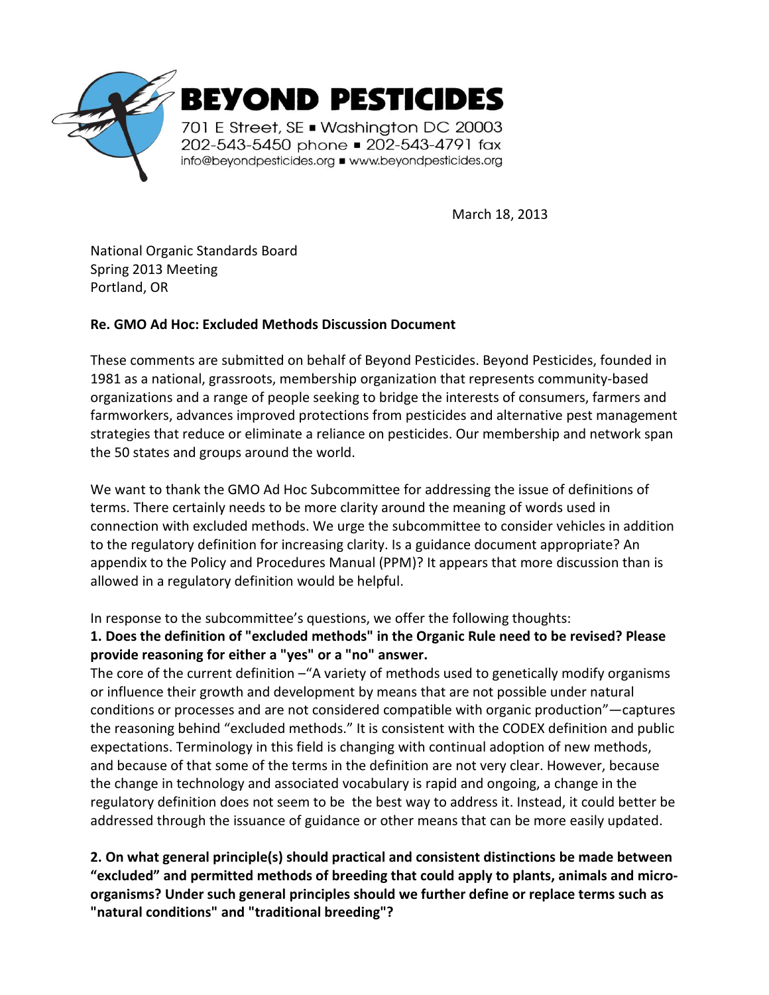

March 18, 2013

National Organic Standards Board Spring 2013 Meeting Portland, OR

## **Re. GMO Ad Hoc: Excluded Methods Discussion Document**

These comments are submitted on behalf of Beyond Pesticides. Beyond Pesticides, founded in 1981 as a national, grassroots, membership organization that represents community-based organizations and a range of people seeking to bridge the interests of consumers, farmers and farmworkers, advances improved protections from pesticides and alternative pest management strategies that reduce or eliminate a reliance on pesticides. Our membership and network span the 50 states and groups around the world.

We want to thank the GMO Ad Hoc Subcommittee for addressing the issue of definitions of terms. There certainly needs to be more clarity around the meaning of words used in connection with excluded methods. We urge the subcommittee to consider vehicles in addition to the regulatory definition for increasing clarity. Is a guidance document appropriate? An appendix to the Policy and Procedures Manual (PPM)? It appears that more discussion than is allowed in a regulatory definition would be helpful.

In response to the subcommittee's questions, we offer the following thoughts:

# **1. Does the definition of "excluded methods" in the Organic Rule need to be revised? Please provide reasoning for either a "yes" or a "no" answer.**

The core of the current definition - "A variety of methods used to genetically modify organisms or influence their growth and development by means that are not possible under natural conditions or processes and are not considered compatible with organic production"—captures the reasoning behind "excluded methods." It is consistent with the CODEX definition and public expectations. Terminology in this field is changing with continual adoption of new methods, and because of that some of the terms in the definition are not very clear. However, because the change in technology and associated vocabulary is rapid and ongoing, a change in the regulatory definition does not seem to be the best way to address it. Instead, it could better be addressed through the issuance of guidance or other means that can be more easily updated.

**2. On what general principle(s) should practical and consistent distinctions be made between "excluded" and permitted methods of breeding that could apply to plants, animals and microorganisms? Under such general principles should we further define or replace terms such as "natural conditions" and "traditional breeding"?**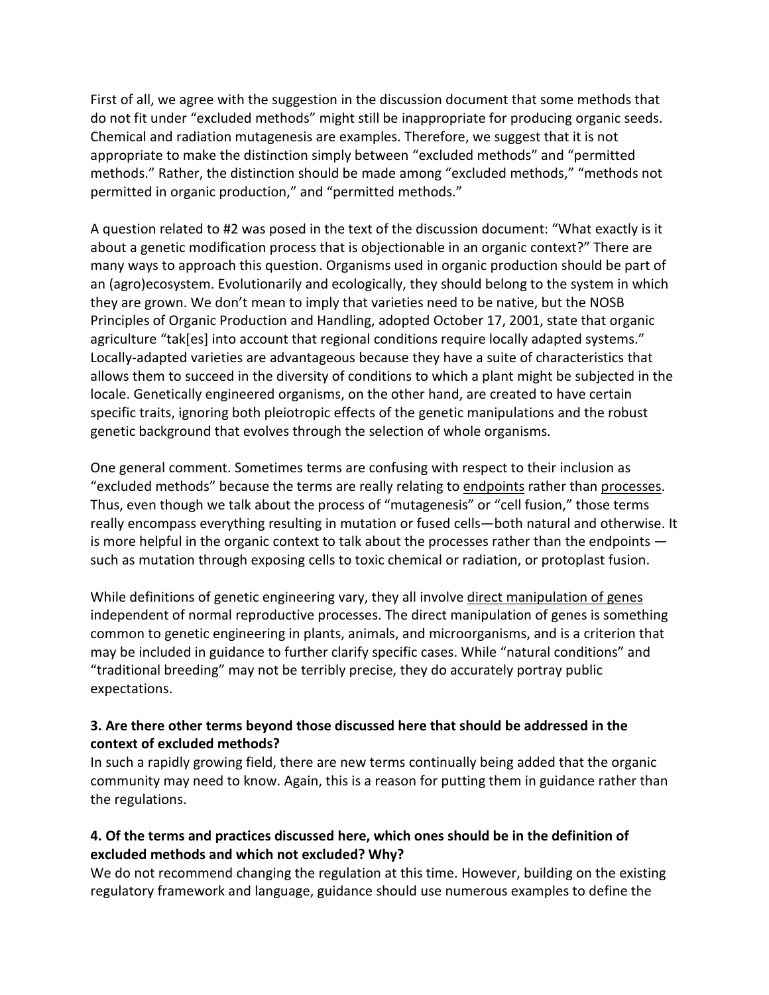First of all, we agree with the suggestion in the discussion document that some methods that do not fit under "excluded methods" might still be inappropriate for producing organic seeds. Chemical and radiation mutagenesis are examples. Therefore, we suggest that it is not appropriate to make the distinction simply between "excluded methods" and "permitted methods." Rather, the distinction should be made among "excluded methods," "methods not permitted in organic production," and "permitted methods."

A question related to #2 was posed in the text of the discussion document: "What exactly is it about a genetic modification process that is objectionable in an organic context?" There are many ways to approach this question. Organisms used in organic production should be part of an (agro)ecosystem. Evolutionarily and ecologically, they should belong to the system in which they are grown. We don't mean to imply that varieties need to be native, but the NOSB Principles of Organic Production and Handling, adopted October 17, 2001, state that organic agriculture "tak[es] into account that regional conditions require locally adapted systems." Locally-adapted varieties are advantageous because they have a suite of characteristics that allows them to succeed in the diversity of conditions to which a plant might be subjected in the locale. Genetically engineered organisms, on the other hand, are created to have certain specific traits, ignoring both pleiotropic effects of the genetic manipulations and the robust genetic background that evolves through the selection of whole organisms.

One general comment. Sometimes terms are confusing with respect to their inclusion as "excluded methods" because the terms are really relating to endpoints rather than processes. Thus, even though we talk about the process of "mutagenesis" or "cell fusion," those terms really encompass everything resulting in mutation or fused cells—both natural and otherwise. It is more helpful in the organic context to talk about the processes rather than the endpoints such as mutation through exposing cells to toxic chemical or radiation, or protoplast fusion.

While definitions of genetic engineering vary, they all involve direct manipulation of genes independent of normal reproductive processes. The direct manipulation of genes is something common to genetic engineering in plants, animals, and microorganisms, and is a criterion that may be included in guidance to further clarify specific cases. While "natural conditions" and "traditional breeding" may not be terribly precise, they do accurately portray public expectations.

## **3. Are there other terms beyond those discussed here that should be addressed in the context of excluded methods?**

In such a rapidly growing field, there are new terms continually being added that the organic community may need to know. Again, this is a reason for putting them in guidance rather than the regulations.

# **4. Of the terms and practices discussed here, which ones should be in the definition of excluded methods and which not excluded? Why?**

We do not recommend changing the regulation at this time. However, building on the existing regulatory framework and language, guidance should use numerous examples to define the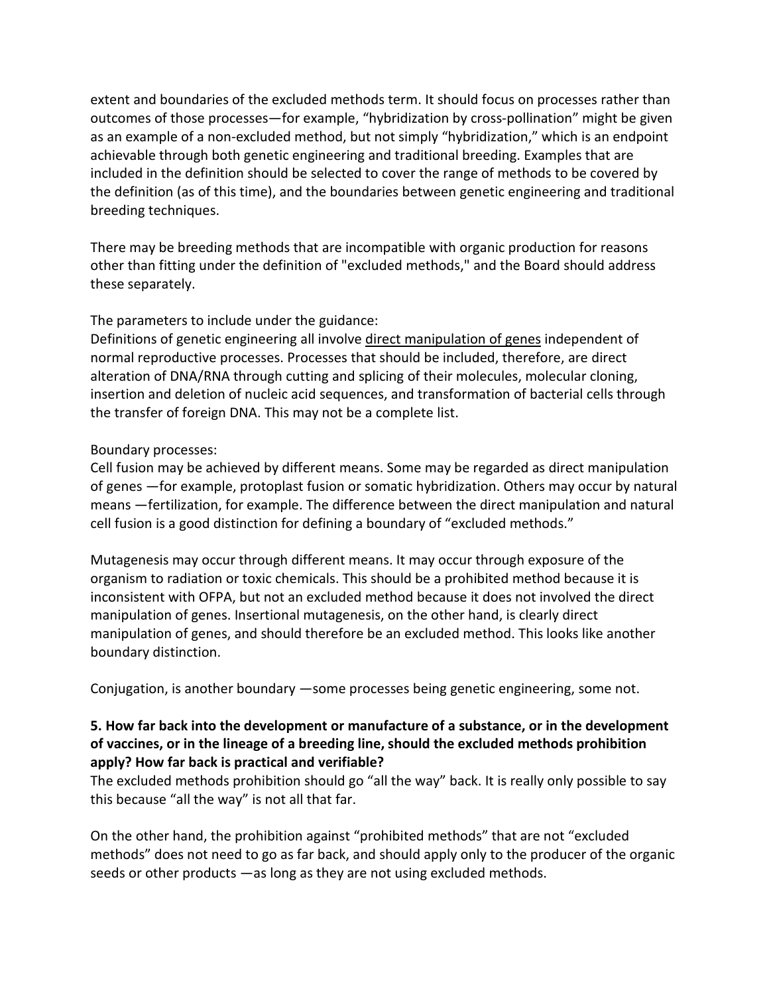extent and boundaries of the excluded methods term. It should focus on processes rather than outcomes of those processes—for example, "hybridization by cross-pollination" might be given as an example of a non-excluded method, but not simply "hybridization," which is an endpoint achievable through both genetic engineering and traditional breeding. Examples that are included in the definition should be selected to cover the range of methods to be covered by the definition (as of this time), and the boundaries between genetic engineering and traditional breeding techniques.

There may be breeding methods that are incompatible with organic production for reasons other than fitting under the definition of "excluded methods," and the Board should address these separately.

The parameters to include under the guidance:

Definitions of genetic engineering all involve direct manipulation of genes independent of normal reproductive processes. Processes that should be included, therefore, are direct alteration of DNA/RNA through cutting and splicing of their molecules, molecular cloning, insertion and deletion of nucleic acid sequences, and transformation of bacterial cells through the transfer of foreign DNA. This may not be a complete list.

## Boundary processes:

Cell fusion may be achieved by different means. Some may be regarded as direct manipulation of genes —for example, protoplast fusion or somatic hybridization. Others may occur by natural means —fertilization, for example. The difference between the direct manipulation and natural cell fusion is a good distinction for defining a boundary of "excluded methods."

Mutagenesis may occur through different means. It may occur through exposure of the organism to radiation or toxic chemicals. This should be a prohibited method because it is inconsistent with OFPA, but not an excluded method because it does not involved the direct manipulation of genes. Insertional mutagenesis, on the other hand, is clearly direct manipulation of genes, and should therefore be an excluded method. This looks like another boundary distinction.

Conjugation, is another boundary —some processes being genetic engineering, some not.

## **5. How far back into the development or manufacture of a substance, or in the development of vaccines, or in the lineage of a breeding line, should the excluded methods prohibition apply? How far back is practical and verifiable?**

The excluded methods prohibition should go "all the way" back. It is really only possible to say this because "all the way" is not all that far.

On the other hand, the prohibition against "prohibited methods" that are not "excluded methods" does not need to go as far back, and should apply only to the producer of the organic seeds or other products —as long as they are not using excluded methods.